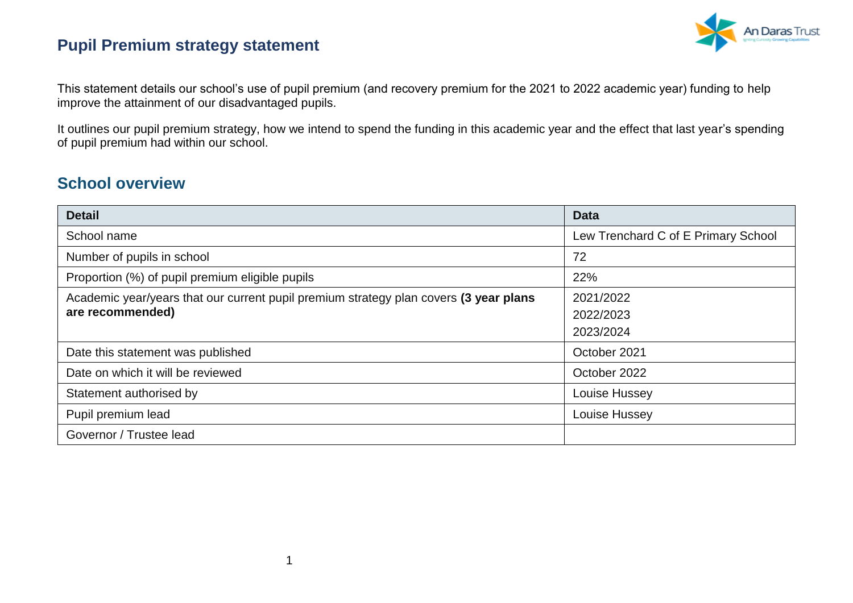

This statement details our school's use of pupil premium (and recovery premium for the 2021 to 2022 academic year) funding to help improve the attainment of our disadvantaged pupils.

It outlines our pupil premium strategy, how we intend to spend the funding in this academic year and the effect that last year's spending of pupil premium had within our school.

#### **School overview**

| <b>Detail</b>                                                                                             | <b>Data</b>                         |
|-----------------------------------------------------------------------------------------------------------|-------------------------------------|
| School name                                                                                               | Lew Trenchard C of E Primary School |
| Number of pupils in school                                                                                | 72                                  |
| Proportion (%) of pupil premium eligible pupils                                                           | 22%                                 |
| Academic year/years that our current pupil premium strategy plan covers (3 year plans<br>are recommended) | 2021/2022<br>2022/2023<br>2023/2024 |
| Date this statement was published                                                                         | October 2021                        |
| Date on which it will be reviewed                                                                         | October 2022                        |
| Statement authorised by                                                                                   | Louise Hussey                       |
| Pupil premium lead                                                                                        | Louise Hussey                       |
| Governor / Trustee lead                                                                                   |                                     |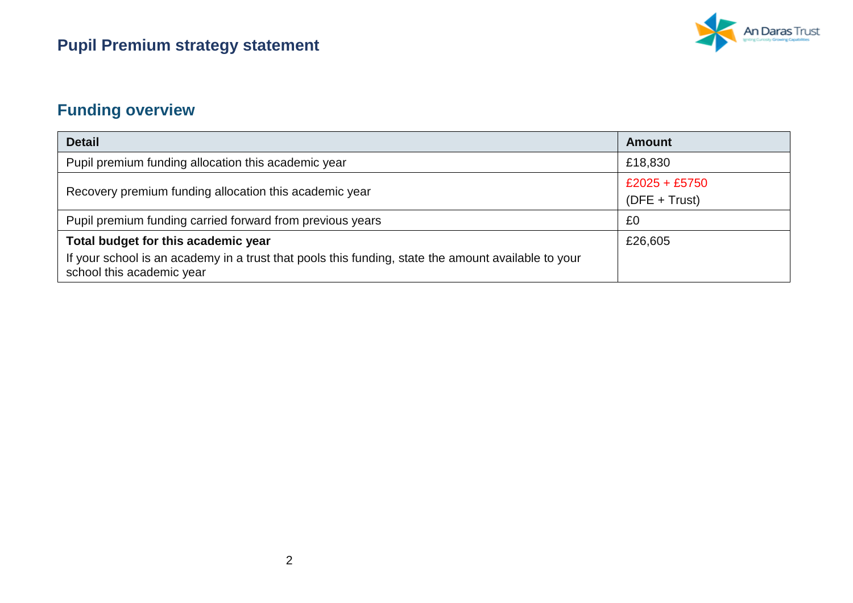

## **Funding overview**

| <b>Detail</b>                                                                                                                                                           | <b>Amount</b>                      |  |
|-------------------------------------------------------------------------------------------------------------------------------------------------------------------------|------------------------------------|--|
| Pupil premium funding allocation this academic year                                                                                                                     | £18,830                            |  |
| Recovery premium funding allocation this academic year                                                                                                                  | $£2025 + £5750$<br>$(DFE + Trust)$ |  |
| Pupil premium funding carried forward from previous years                                                                                                               | £0                                 |  |
| Total budget for this academic year<br>If your school is an academy in a trust that pools this funding, state the amount available to your<br>school this academic year | £26,605                            |  |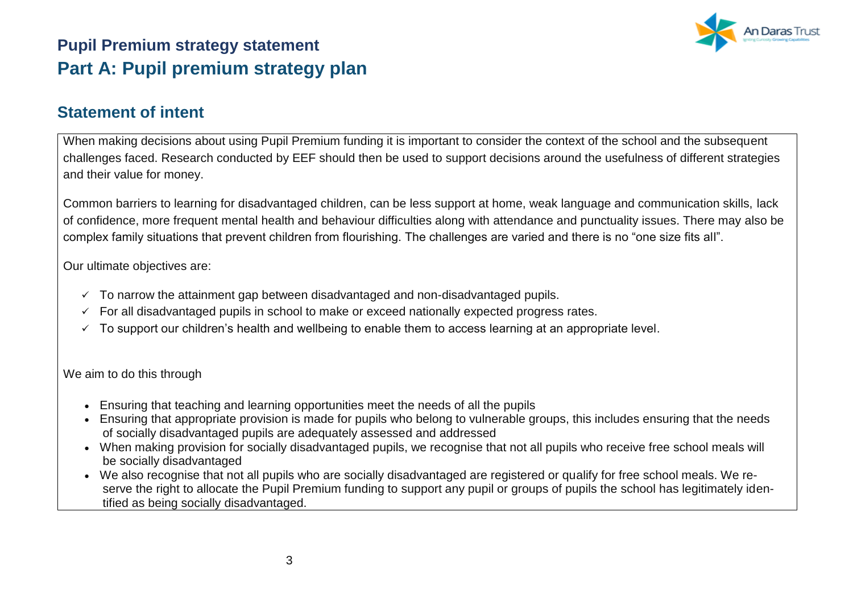### **Pupil Premium strategy statement Part A: Pupil premium strategy plan**



#### **Statement of intent**

When making decisions about using Pupil Premium funding it is important to consider the context of the school and the subsequent challenges faced. Research conducted by EEF should then be used to support decisions around the usefulness of different strategies and their value for money.

Common barriers to learning for disadvantaged children, can be less support at home, weak language and communication skills, lack of confidence, more frequent mental health and behaviour difficulties along with attendance and punctuality issues. There may also be complex family situations that prevent children from flourishing. The challenges are varied and there is no "one size fits all".

Our ultimate objectives are:

- $\checkmark$  To narrow the attainment gap between disadvantaged and non-disadvantaged pupils.
- $\checkmark$  For all disadvantaged pupils in school to make or exceed nationally expected progress rates.
- $\checkmark$  To support our children's health and wellbeing to enable them to access learning at an appropriate level.

We aim to do this through

- Ensuring that teaching and learning opportunities meet the needs of all the pupils
- Ensuring that appropriate provision is made for pupils who belong to vulnerable groups, this includes ensuring that the needs of socially disadvantaged pupils are adequately assessed and addressed
- When making provision for socially disadvantaged pupils, we recognise that not all pupils who receive free school meals will be socially disadvantaged
- We also recognise that not all pupils who are socially disadvantaged are registered or qualify for free school meals. We reserve the right to allocate the Pupil Premium funding to support any pupil or groups of pupils the school has legitimately identified as being socially disadvantaged.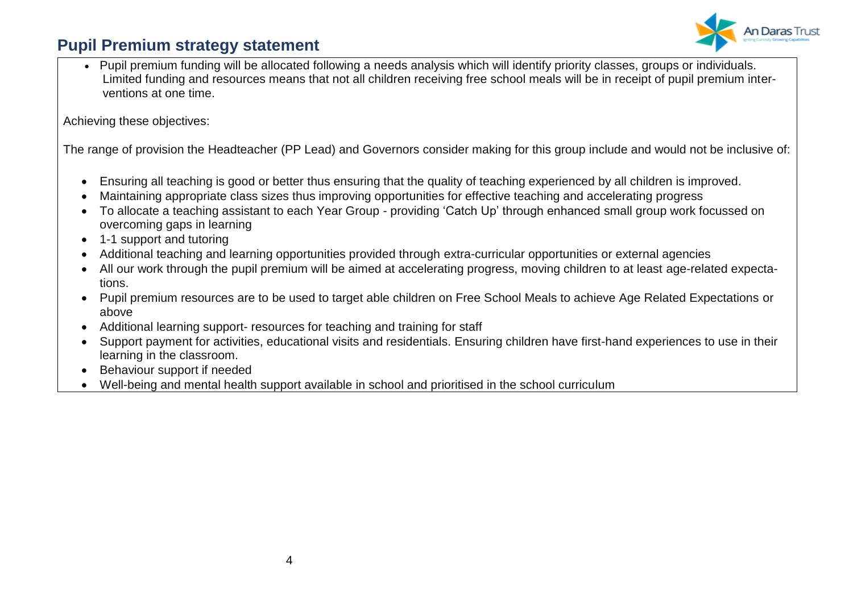

• Pupil premium funding will be allocated following a needs analysis which will identify priority classes, groups or individuals. Limited funding and resources means that not all children receiving free school meals will be in receipt of pupil premium interventions at one time.

Achieving these objectives:

The range of provision the Headteacher (PP Lead) and Governors consider making for this group include and would not be inclusive of:

- Ensuring all teaching is good or better thus ensuring that the quality of teaching experienced by all children is improved.
- Maintaining appropriate class sizes thus improving opportunities for effective teaching and accelerating progress
- To allocate a teaching assistant to each Year Group providing 'Catch Up' through enhanced small group work focussed on overcoming gaps in learning
- 1-1 support and tutoring
- Additional teaching and learning opportunities provided through extra-curricular opportunities or external agencies
- All our work through the pupil premium will be aimed at accelerating progress, moving children to at least age-related expectations.
- Pupil premium resources are to be used to target able children on Free School Meals to achieve Age Related Expectations or above
- Additional learning support- resources for teaching and training for staff
- Support payment for activities, educational visits and residentials. Ensuring children have first-hand experiences to use in their learning in the classroom.
- Behaviour support if needed
- Well-being and mental health support available in school and prioritised in the school curriculum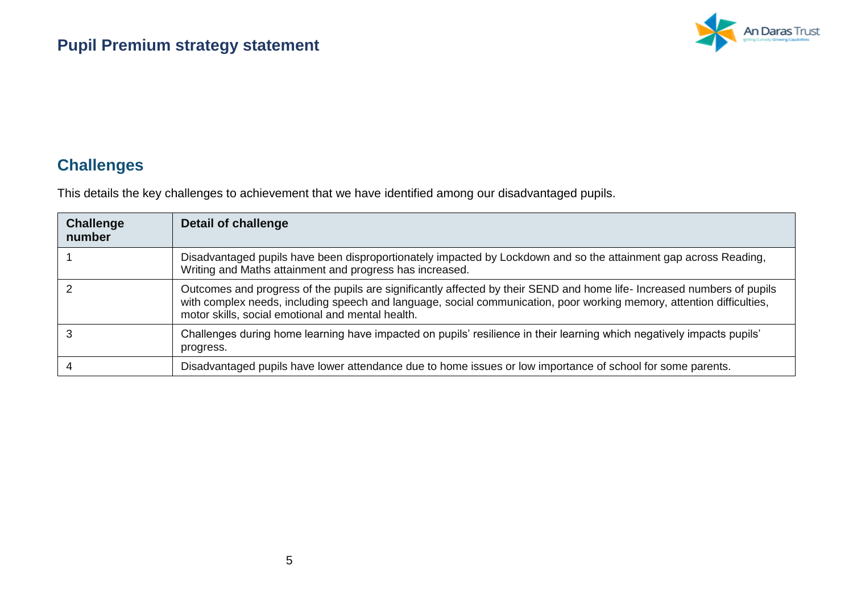

### **Challenges**

This details the key challenges to achievement that we have identified among our disadvantaged pupils.

| <b>Challenge</b><br>number | Detail of challenge                                                                                                                                                                                                                                                                                   |
|----------------------------|-------------------------------------------------------------------------------------------------------------------------------------------------------------------------------------------------------------------------------------------------------------------------------------------------------|
|                            | Disadvantaged pupils have been disproportionately impacted by Lockdown and so the attainment gap across Reading,<br>Writing and Maths attainment and progress has increased.                                                                                                                          |
|                            | Outcomes and progress of the pupils are significantly affected by their SEND and home life- Increased numbers of pupils<br>with complex needs, including speech and language, social communication, poor working memory, attention difficulties,<br>motor skills, social emotional and mental health. |
|                            | Challenges during home learning have impacted on pupils' resilience in their learning which negatively impacts pupils'<br>progress.                                                                                                                                                                   |
|                            | Disadvantaged pupils have lower attendance due to home issues or low importance of school for some parents.                                                                                                                                                                                           |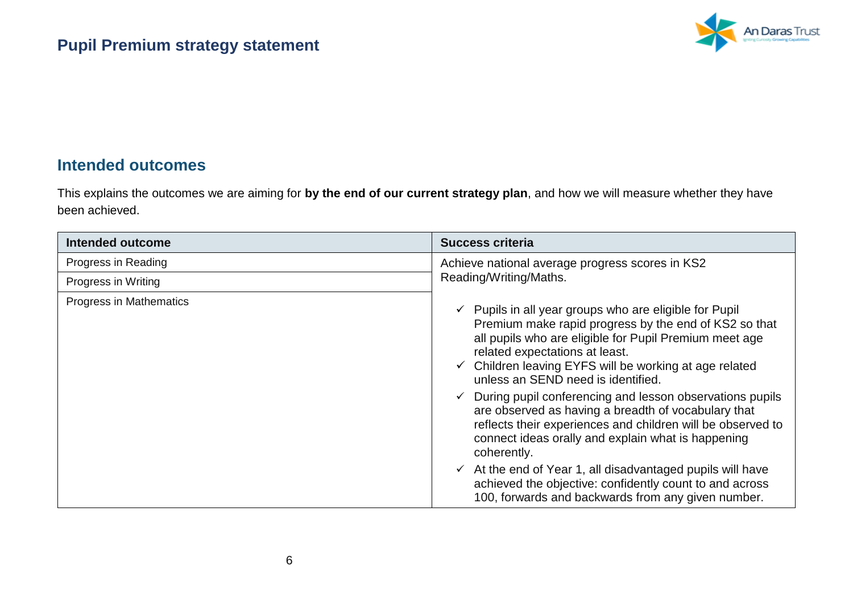

#### **Intended outcomes**

This explains the outcomes we are aiming for **by the end of our current strategy plan**, and how we will measure whether they have been achieved.

| <b>Intended outcome</b> | <b>Success criteria</b>                                                                                                                                                                                                                                                                                                                                                                                                                                                                                                                                                                                                                                                                                                                                                                            |
|-------------------------|----------------------------------------------------------------------------------------------------------------------------------------------------------------------------------------------------------------------------------------------------------------------------------------------------------------------------------------------------------------------------------------------------------------------------------------------------------------------------------------------------------------------------------------------------------------------------------------------------------------------------------------------------------------------------------------------------------------------------------------------------------------------------------------------------|
| Progress in Reading     | Achieve national average progress scores in KS2                                                                                                                                                                                                                                                                                                                                                                                                                                                                                                                                                                                                                                                                                                                                                    |
| Progress in Writing     | Reading/Writing/Maths.                                                                                                                                                                                                                                                                                                                                                                                                                                                                                                                                                                                                                                                                                                                                                                             |
| Progress in Mathematics | $\checkmark$ Pupils in all year groups who are eligible for Pupil<br>Premium make rapid progress by the end of KS2 so that<br>all pupils who are eligible for Pupil Premium meet age<br>related expectations at least.<br>$\checkmark$ Children leaving EYFS will be working at age related<br>unless an SEND need is identified.<br>During pupil conferencing and lesson observations pupils<br>$\checkmark$<br>are observed as having a breadth of vocabulary that<br>reflects their experiences and children will be observed to<br>connect ideas orally and explain what is happening<br>coherently.<br>$\checkmark$ At the end of Year 1, all disadvantaged pupils will have<br>achieved the objective: confidently count to and across<br>100, forwards and backwards from any given number. |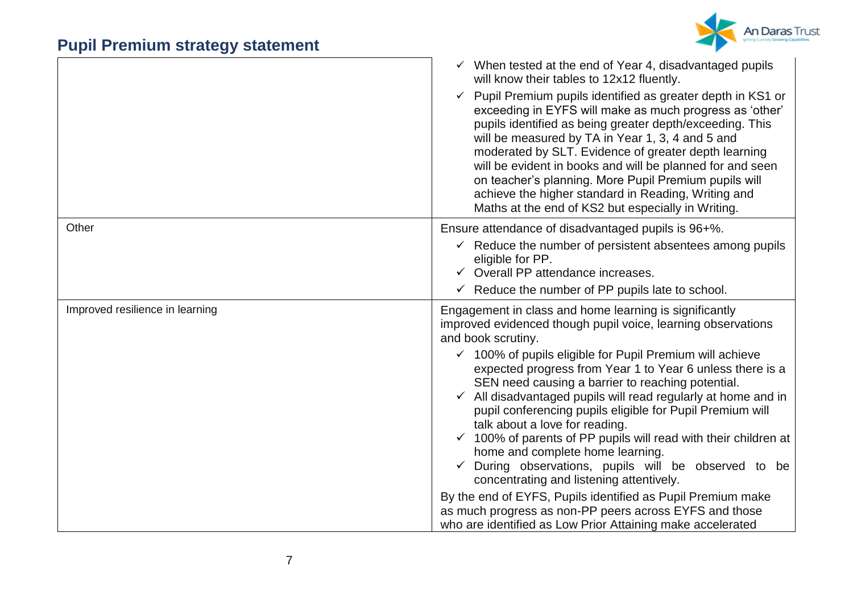

|                                 | $\checkmark$ When tested at the end of Year 4, disadvantaged pupils<br>will know their tables to 12x12 fluently.<br>Pupil Premium pupils identified as greater depth in KS1 or<br>$\checkmark$<br>exceeding in EYFS will make as much progress as 'other'<br>pupils identified as being greater depth/exceeding. This<br>will be measured by TA in Year 1, 3, 4 and 5 and<br>moderated by SLT. Evidence of greater depth learning<br>will be evident in books and will be planned for and seen<br>on teacher's planning. More Pupil Premium pupils will<br>achieve the higher standard in Reading, Writing and<br>Maths at the end of KS2 but especially in Writing. |
|---------------------------------|----------------------------------------------------------------------------------------------------------------------------------------------------------------------------------------------------------------------------------------------------------------------------------------------------------------------------------------------------------------------------------------------------------------------------------------------------------------------------------------------------------------------------------------------------------------------------------------------------------------------------------------------------------------------|
| Other                           | Ensure attendance of disadvantaged pupils is 96+%.<br>$\checkmark$ Reduce the number of persistent absentees among pupils                                                                                                                                                                                                                                                                                                                                                                                                                                                                                                                                            |
|                                 | eligible for PP.<br>$\checkmark$ Overall PP attendance increases.                                                                                                                                                                                                                                                                                                                                                                                                                                                                                                                                                                                                    |
|                                 | $\checkmark$ Reduce the number of PP pupils late to school.                                                                                                                                                                                                                                                                                                                                                                                                                                                                                                                                                                                                          |
| Improved resilience in learning | Engagement in class and home learning is significantly<br>improved evidenced though pupil voice, learning observations<br>and book scrutiny.                                                                                                                                                                                                                                                                                                                                                                                                                                                                                                                         |
|                                 | $\checkmark$ 100% of pupils eligible for Pupil Premium will achieve<br>expected progress from Year 1 to Year 6 unless there is a<br>SEN need causing a barrier to reaching potential.<br>All disadvantaged pupils will read regularly at home and in<br>pupil conferencing pupils eligible for Pupil Premium will<br>talk about a love for reading.<br>$\checkmark$ 100% of parents of PP pupils will read with their children at<br>home and complete home learning.<br>$\checkmark$ During observations, pupils will be observed to be<br>concentrating and listening attentively.                                                                                 |
|                                 | By the end of EYFS, Pupils identified as Pupil Premium make<br>as much progress as non-PP peers across EYFS and those<br>who are identified as Low Prior Attaining make accelerated                                                                                                                                                                                                                                                                                                                                                                                                                                                                                  |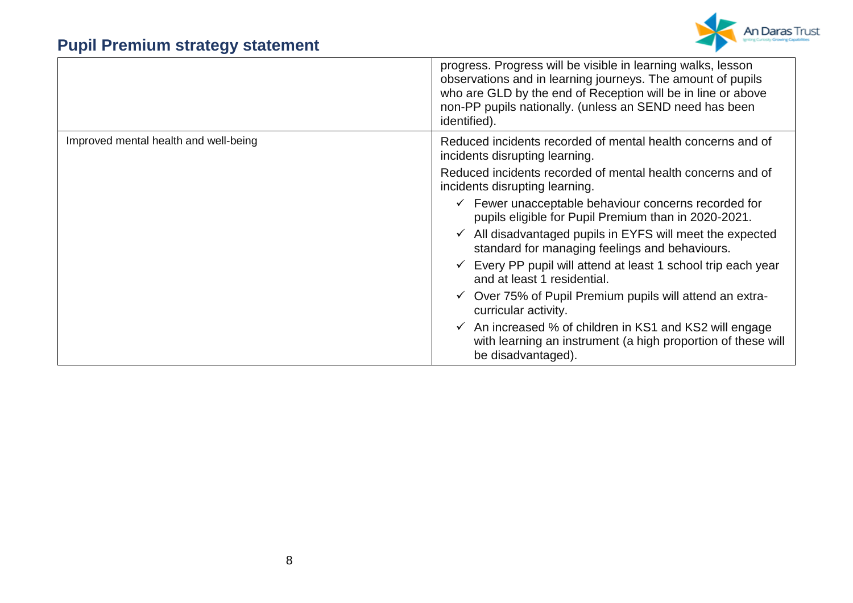

|                                       | progress. Progress will be visible in learning walks, lesson<br>observations and in learning journeys. The amount of pupils<br>who are GLD by the end of Reception will be in line or above<br>non-PP pupils nationally. (unless an SEND need has been<br>identified). |
|---------------------------------------|------------------------------------------------------------------------------------------------------------------------------------------------------------------------------------------------------------------------------------------------------------------------|
| Improved mental health and well-being | Reduced incidents recorded of mental health concerns and of<br>incidents disrupting learning.                                                                                                                                                                          |
|                                       | Reduced incidents recorded of mental health concerns and of<br>incidents disrupting learning.                                                                                                                                                                          |
|                                       | $\checkmark$ Fewer unacceptable behaviour concerns recorded for<br>pupils eligible for Pupil Premium than in 2020-2021.                                                                                                                                                |
|                                       | $\checkmark$ All disadvantaged pupils in EYFS will meet the expected<br>standard for managing feelings and behaviours.                                                                                                                                                 |
|                                       | $\checkmark$ Every PP pupil will attend at least 1 school trip each year<br>and at least 1 residential.                                                                                                                                                                |
|                                       | $\checkmark$ Over 75% of Pupil Premium pupils will attend an extra-<br>curricular activity.                                                                                                                                                                            |
|                                       | $\checkmark$ An increased % of children in KS1 and KS2 will engage<br>with learning an instrument (a high proportion of these will<br>be disadvantaged).                                                                                                               |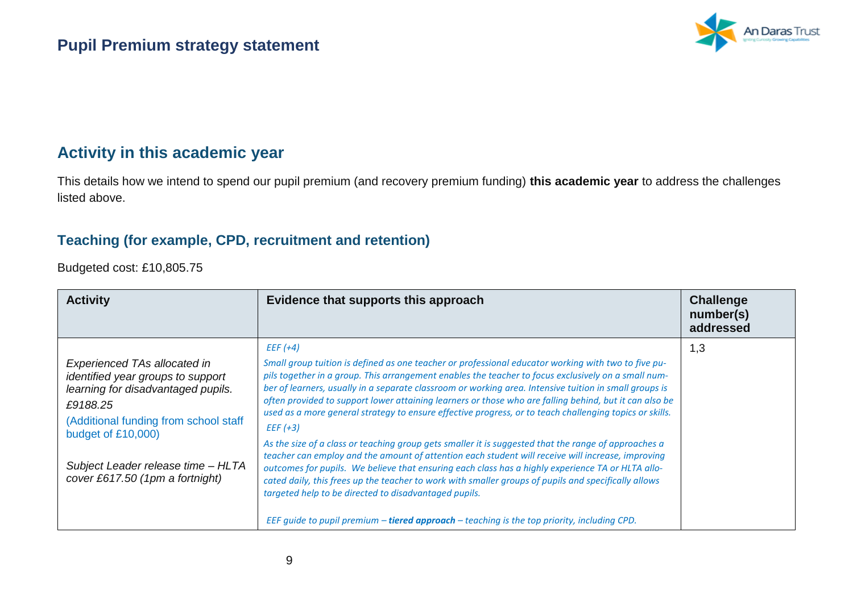

### **Activity in this academic year**

This details how we intend to spend our pupil premium (and recovery premium funding) **this academic year** to address the challenges listed above.

#### **Teaching (for example, CPD, recruitment and retention)**

Budgeted cost: £10,805.75

| <b>Activity</b>                                                                                                                                                                                                                                                    | Evidence that supports this approach                                                                                                                                                                                                                                                                                                                                                                                                                                                                                                                                                                                                                                                                                                                                                                                                                                                                                                                                                                                                                                                                                                                    | <b>Challenge</b><br>number(s)<br>addressed |
|--------------------------------------------------------------------------------------------------------------------------------------------------------------------------------------------------------------------------------------------------------------------|---------------------------------------------------------------------------------------------------------------------------------------------------------------------------------------------------------------------------------------------------------------------------------------------------------------------------------------------------------------------------------------------------------------------------------------------------------------------------------------------------------------------------------------------------------------------------------------------------------------------------------------------------------------------------------------------------------------------------------------------------------------------------------------------------------------------------------------------------------------------------------------------------------------------------------------------------------------------------------------------------------------------------------------------------------------------------------------------------------------------------------------------------------|--------------------------------------------|
| <b>Experienced TAs allocated in</b><br>identified year groups to support<br>learning for disadvantaged pupils.<br>£9188.25<br>(Additional funding from school staff<br>budget of £10,000)<br>Subject Leader release time - HLTA<br>cover £617.50 (1pm a fortnight) | $EEF$ (+4)<br>Small group tuition is defined as one teacher or professional educator working with two to five pu-<br>pils together in a group. This arrangement enables the teacher to focus exclusively on a small num-<br>ber of learners, usually in a separate classroom or working area. Intensive tuition in small groups is<br>often provided to support lower attaining learners or those who are falling behind, but it can also be<br>used as a more general strategy to ensure effective progress, or to teach challenging topics or skills.<br>$EEF$ (+3)<br>As the size of a class or teaching group gets smaller it is suggested that the range of approaches a<br>teacher can employ and the amount of attention each student will receive will increase, improving<br>outcomes for pupils. We believe that ensuring each class has a highly experience TA or HLTA allo-<br>cated daily, this frees up the teacher to work with smaller groups of pupils and specifically allows<br>targeted help to be directed to disadvantaged pupils.<br>EEF guide to pupil premium - tiered approach - teaching is the top priority, including CPD. | 1,3                                        |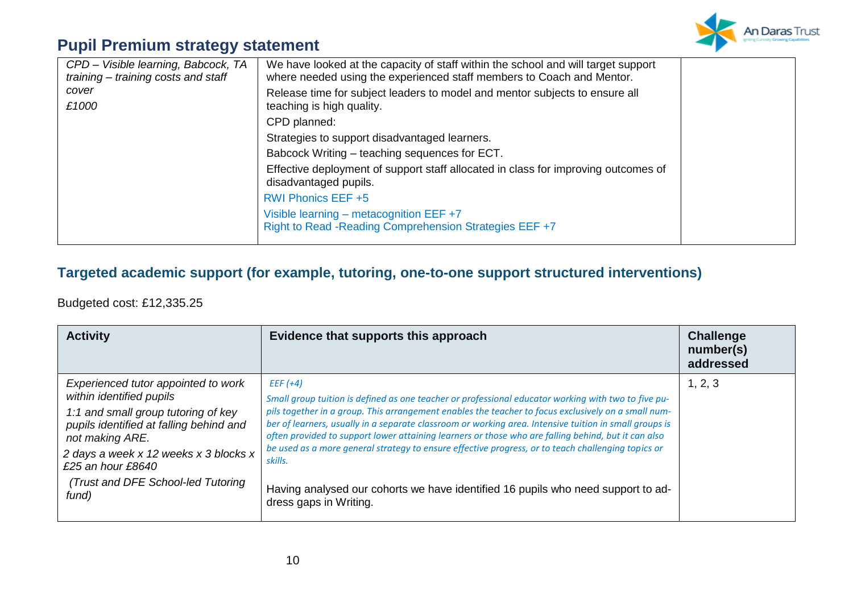

| CPD - Visible learning, Babcock, TA<br>training - training costs and staff | We have looked at the capacity of staff within the school and will target support<br>where needed using the experienced staff members to Coach and Mentor. |  |
|----------------------------------------------------------------------------|------------------------------------------------------------------------------------------------------------------------------------------------------------|--|
| cover<br>£1000                                                             | Release time for subject leaders to model and mentor subjects to ensure all<br>teaching is high quality.                                                   |  |
|                                                                            | CPD planned:                                                                                                                                               |  |
|                                                                            | Strategies to support disadvantaged learners.                                                                                                              |  |
|                                                                            | Babcock Writing – teaching sequences for ECT.                                                                                                              |  |
|                                                                            | Effective deployment of support staff allocated in class for improving outcomes of<br>disadvantaged pupils.                                                |  |
|                                                                            | <b>RWI Phonics EEF +5</b>                                                                                                                                  |  |
|                                                                            | Visible learning – metacognition EEF $+7$<br>Right to Read - Reading Comprehension Strategies EEF +7                                                       |  |

#### **Targeted academic support (for example, tutoring, one-to-one support structured interventions)**

Budgeted cost: £12,335.25

| <b>Activity</b>                                                                                                                                                                                                                                                                  | Evidence that supports this approach                                                                                                                                                                                                                                                                                                                                                                                                                                                                                                                                                                                                                                    | <b>Challenge</b><br>number(s)<br>addressed |
|----------------------------------------------------------------------------------------------------------------------------------------------------------------------------------------------------------------------------------------------------------------------------------|-------------------------------------------------------------------------------------------------------------------------------------------------------------------------------------------------------------------------------------------------------------------------------------------------------------------------------------------------------------------------------------------------------------------------------------------------------------------------------------------------------------------------------------------------------------------------------------------------------------------------------------------------------------------------|--------------------------------------------|
| Experienced tutor appointed to work<br>within identified pupils<br>1:1 and small group tutoring of key<br>pupils identified at falling behind and<br>not making ARE.<br>2 days a week x 12 weeks x 3 blocks x<br>£25 an hour £8640<br>Trust and DFE School-led Tutoring<br>fund) | $EFF(+4)$<br>Small group tuition is defined as one teacher or professional educator working with two to five pu-<br>pils together in a group. This arrangement enables the teacher to focus exclusively on a small num-<br>ber of learners, usually in a separate classroom or working area. Intensive tuition in small groups is<br>often provided to support lower attaining learners or those who are falling behind, but it can also<br>be used as a more general strategy to ensure effective progress, or to teach challenging topics or<br>skills.<br>Having analysed our cohorts we have identified 16 pupils who need support to ad-<br>dress gaps in Writing. | 1, 2, 3                                    |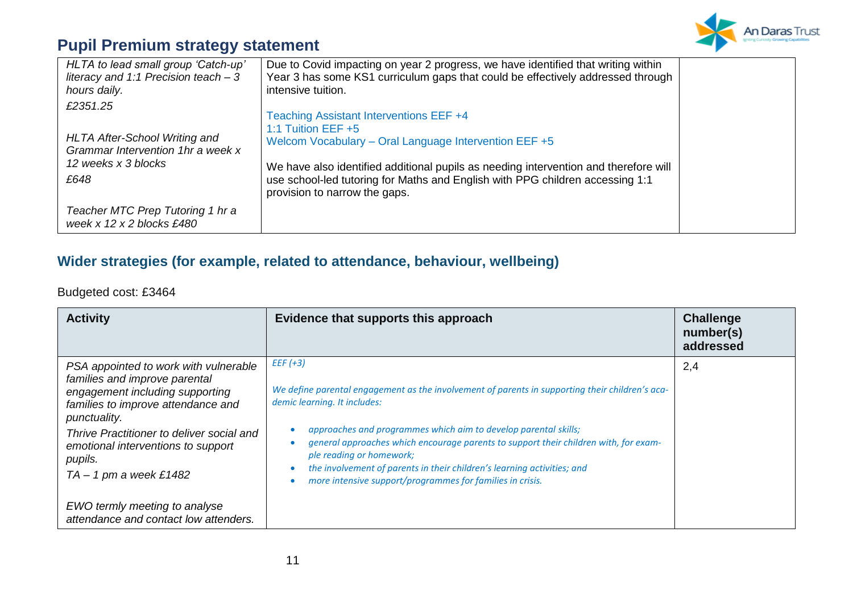

| HLTA to lead small group 'Catch-up'<br>literacy and 1:1 Precision teach - $3$<br>hours daily.                        | Due to Covid impacting on year 2 progress, we have identified that writing within<br>Year 3 has some KS1 curriculum gaps that could be effectively addressed through<br>intensive tuition.                                                                                                                                         |  |
|----------------------------------------------------------------------------------------------------------------------|------------------------------------------------------------------------------------------------------------------------------------------------------------------------------------------------------------------------------------------------------------------------------------------------------------------------------------|--|
| £2351.25<br><b>HLTA After-School Writing and</b><br>Grammar Intervention 1hr a week x<br>12 weeks x 3 blocks<br>£648 | Teaching Assistant Interventions EEF +4<br>1:1 Tuition EEF $+5$<br>Welcom Vocabulary - Oral Language Intervention EEF +5<br>We have also identified additional pupils as needing intervention and therefore will<br>use school-led tutoring for Maths and English with PPG children accessing 1:1<br>provision to narrow the gaps. |  |
| Teacher MTC Prep Tutoring 1 hr a<br>week x $12 \times 2$ blocks £480                                                 |                                                                                                                                                                                                                                                                                                                                    |  |

#### **Wider strategies (for example, related to attendance, behaviour, wellbeing)**

Budgeted cost: £3464

| <b>Activity</b>                                                                                                                                                                                                                                                                           | Evidence that supports this approach                                                                                                                                                                                                                                                                                                                                                                                                                                         | <b>Challenge</b><br>number(s)<br>addressed |
|-------------------------------------------------------------------------------------------------------------------------------------------------------------------------------------------------------------------------------------------------------------------------------------------|------------------------------------------------------------------------------------------------------------------------------------------------------------------------------------------------------------------------------------------------------------------------------------------------------------------------------------------------------------------------------------------------------------------------------------------------------------------------------|--------------------------------------------|
| PSA appointed to work with vulnerable<br>families and improve parental<br>engagement including supporting<br>families to improve attendance and<br>punctuality.<br>Thrive Practitioner to deliver social and<br>emotional interventions to support<br>pupils.<br>$TA - 1$ pm a week £1482 | $EEF (+3)$<br>We define parental engagement as the involvement of parents in supporting their children's aca-<br>demic learning. It includes:<br>approaches and programmes which aim to develop parental skills;<br>general approaches which encourage parents to support their children with, for exam-<br>ple reading or homework;<br>the involvement of parents in their children's learning activities; and<br>more intensive support/programmes for families in crisis. | 2,4                                        |
| EWO termly meeting to analyse<br>attendance and contact low attenders.                                                                                                                                                                                                                    |                                                                                                                                                                                                                                                                                                                                                                                                                                                                              |                                            |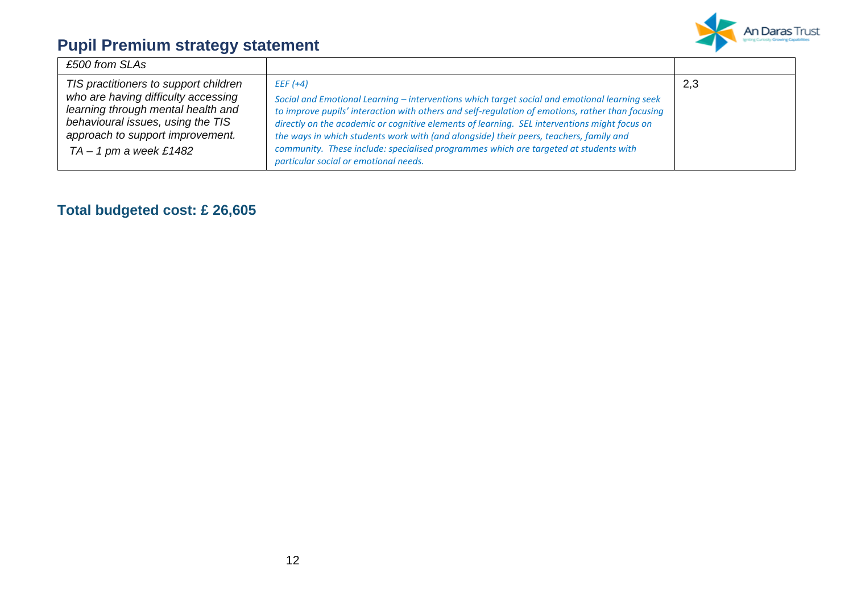

| £500 from SLAs                                                                                                                                                                                                          |                                                                                                                                                                                                                                                                                                                                                                                                                                                                                                                                            |     |
|-------------------------------------------------------------------------------------------------------------------------------------------------------------------------------------------------------------------------|--------------------------------------------------------------------------------------------------------------------------------------------------------------------------------------------------------------------------------------------------------------------------------------------------------------------------------------------------------------------------------------------------------------------------------------------------------------------------------------------------------------------------------------------|-----|
| TIS practitioners to support children<br>who are having difficulty accessing<br>learning through mental health and<br>behavioural issues, using the TIS<br>approach to support improvement.<br>$TA - 1$ pm a week £1482 | $EEF$ (+4)<br>Social and Emotional Learning - interventions which target social and emotional learning seek<br>to improve pupils' interaction with others and self-regulation of emotions, rather than focusing<br>directly on the academic or cognitive elements of learning. SEL interventions might focus on<br>the ways in which students work with (and alongside) their peers, teachers, family and<br>community. These include: specialised programmes which are targeted at students with<br>particular social or emotional needs. | 2,3 |

### **Total budgeted cost: £ 26,605**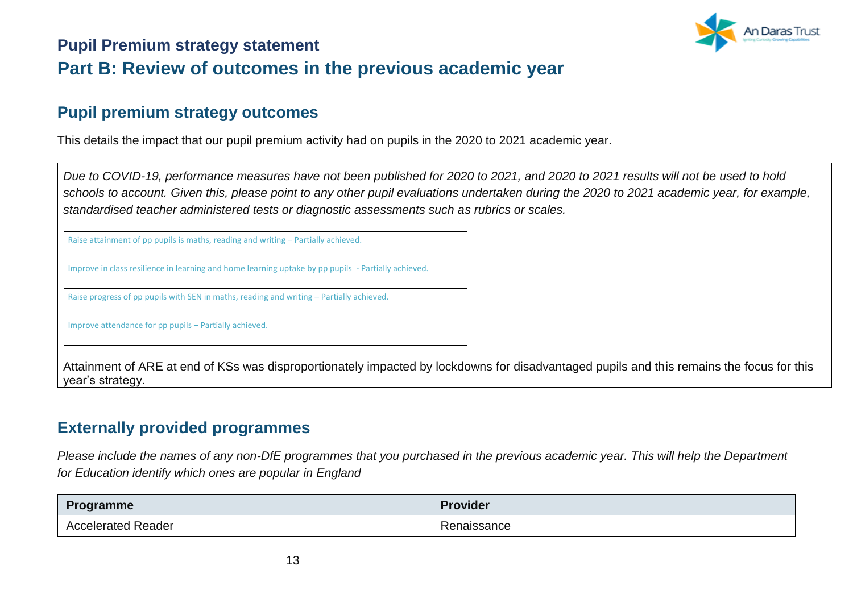

### **Pupil Premium strategy statement Part B: Review of outcomes in the previous academic year**

#### **Pupil premium strategy outcomes**

This details the impact that our pupil premium activity had on pupils in the 2020 to 2021 academic year.

*Due to COVID-19, performance measures have not been published for 2020 to 2021, and 2020 to 2021 results will not be used to hold schools to account. Given this, please point to any other pupil evaluations undertaken during the 2020 to 2021 academic year, for example, standardised teacher administered tests or diagnostic assessments such as rubrics or scales.*

Raise attainment of pp pupils is maths, reading and writing – Partially achieved.

Improve in class resilience in learning and home learning uptake by pp pupils - Partially achieved.

Raise progress of pp pupils with SEN in maths, reading and writing – Partially achieved.

Improve attendance for pp pupils – Partially achieved.

Attainment of ARE at end of KSs was disproportionately impacted by lockdowns for disadvantaged pupils and this remains the focus for this year's strategy.

### **Externally provided programmes**

*Please include the names of any non-DfE programmes that you purchased in the previous academic year. This will help the Department for Education identify which ones are popular in England*

| Programme               | <b>Provider</b> |
|-------------------------|-----------------|
| l Reader<br>Accelerated | Renaissance     |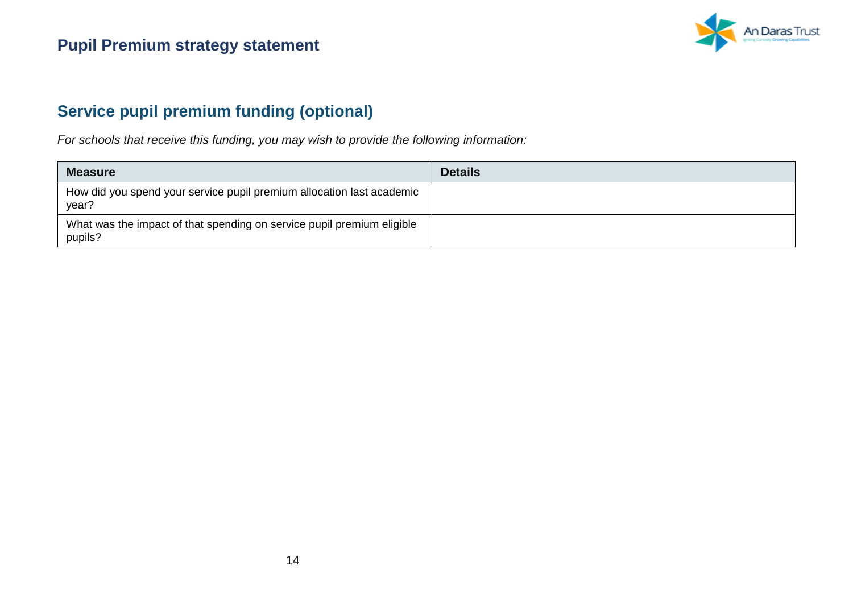

### **Service pupil premium funding (optional)**

*For schools that receive this funding, you may wish to provide the following information:* 

| <b>Measure</b>                                                                    | <b>Details</b> |
|-----------------------------------------------------------------------------------|----------------|
| How did you spend your service pupil premium allocation last academic<br>year?    |                |
| What was the impact of that spending on service pupil premium eligible<br>pupils? |                |